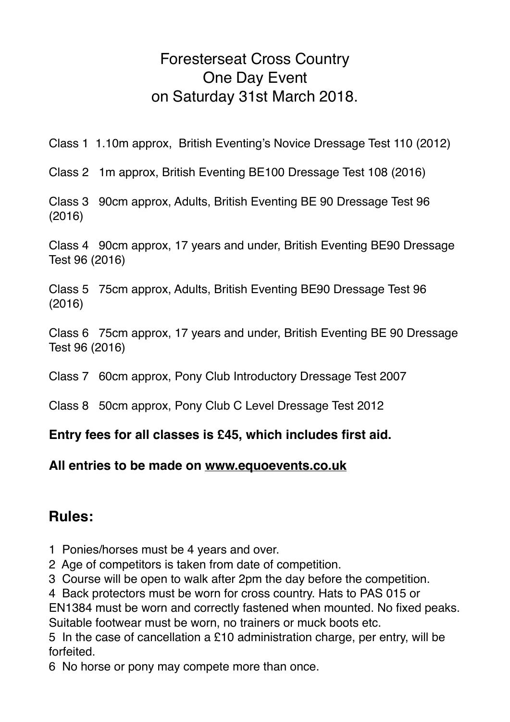# Foresterseat Cross Country One Day Event on Saturday 31st March 2018.

Class 1 1.10m approx, British Eventing's Novice Dressage Test 110 (2012)

Class 2 1m approx, British Eventing BE100 Dressage Test 108 (2016)

Class 3 90cm approx, Adults, British Eventing BE 90 Dressage Test 96 (2016)

Class 4 90cm approx, 17 years and under, British Eventing BE90 Dressage Test 96 (2016)

Class 5 75cm approx, Adults, British Eventing BE90 Dressage Test 96 (2016)

Class 6 75cm approx, 17 years and under, British Eventing BE 90 Dressage Test 96 (2016)

Class 7 60cm approx, Pony Club Introductory Dressage Test 2007

Class 8 50cm approx, Pony Club C Level Dressage Test 2012

**Entry fees for all classes is £45, which includes first aid.**

#### **All entries to be made on [www.equoevents.co.uk](http://www.equoevents.co.uk)**

#### **Rules:**

1 Ponies/horses must be 4 years and over.

2 Age of competitors is taken from date of competition.

3 Course will be open to walk after 2pm the day before the competition.

4 Back protectors must be worn for cross country. Hats to PAS 015 or

EN1384 must be worn and correctly fastened when mounted. No fixed peaks. Suitable footwear must be worn, no trainers or muck boots etc.

5 In the case of cancellation a £10 administration charge, per entry, will be forfeited.

6 No horse or pony may compete more than once.